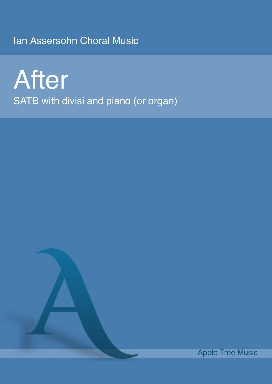Ian Assersohn Choral Music

After SATB with divisi and piano (or organ)

Apple Tree Music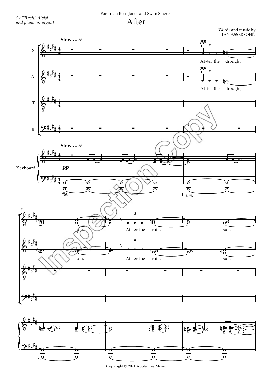## For Tricia Rees-Jones and Swan Singers

After

Words and music by<br>IAN ASSERSOHN



Copyright © 2021 Apple Tree Music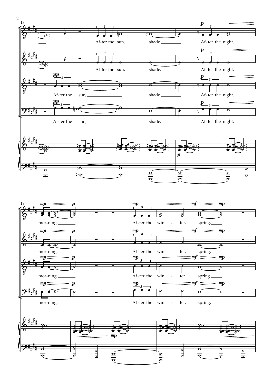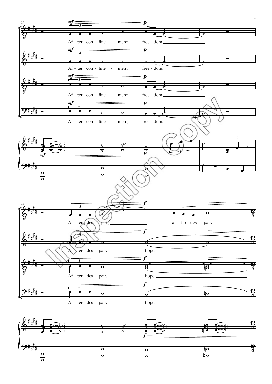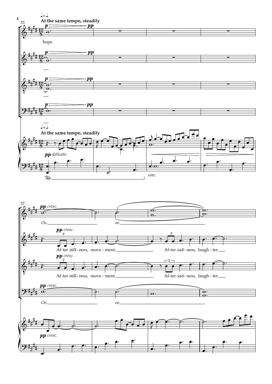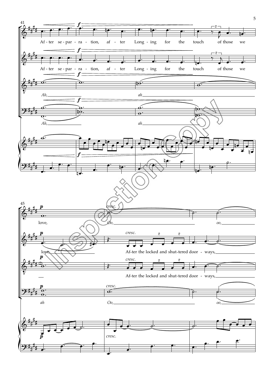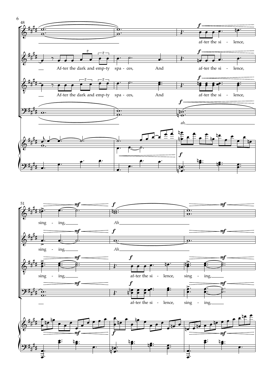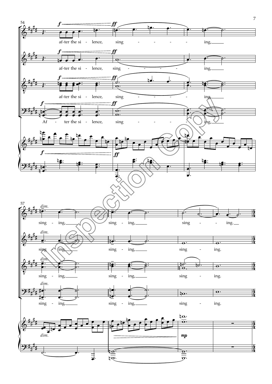